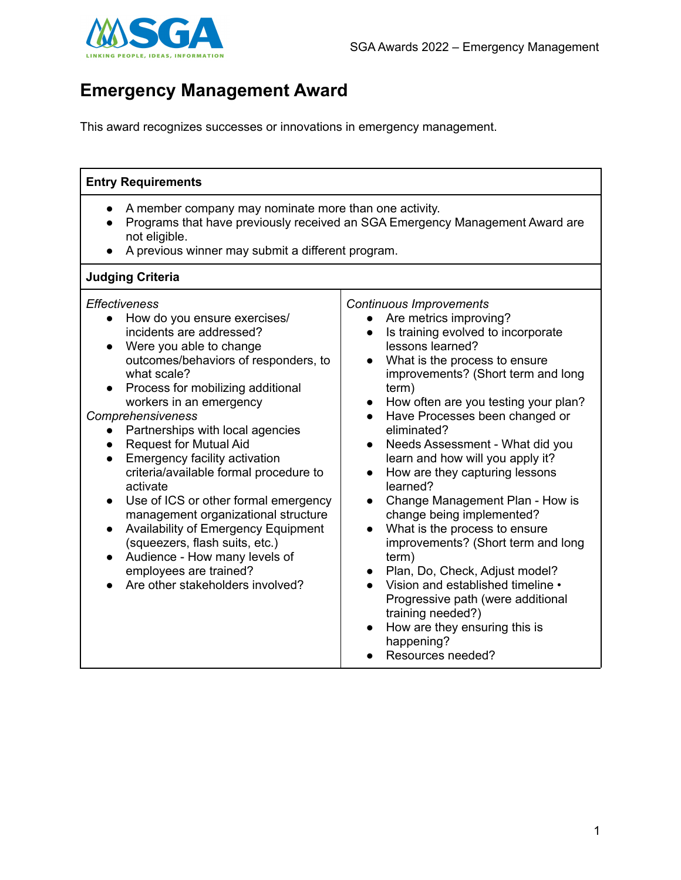

## **Emergency Management Award**

This award recognizes successes or innovations in emergency management.

| <b>Entry Requirements</b>                                                                                                                                                                                                                                                                                                                                                                                                                                                                                                                                                                                                                                                        |                                                                                                                                                                                                                                                                                                                                                                                                                                                                                                                                                                                                                                                                                                                                                                                                                                                                  |
|----------------------------------------------------------------------------------------------------------------------------------------------------------------------------------------------------------------------------------------------------------------------------------------------------------------------------------------------------------------------------------------------------------------------------------------------------------------------------------------------------------------------------------------------------------------------------------------------------------------------------------------------------------------------------------|------------------------------------------------------------------------------------------------------------------------------------------------------------------------------------------------------------------------------------------------------------------------------------------------------------------------------------------------------------------------------------------------------------------------------------------------------------------------------------------------------------------------------------------------------------------------------------------------------------------------------------------------------------------------------------------------------------------------------------------------------------------------------------------------------------------------------------------------------------------|
| A member company may nominate more than one activity.<br>not eligible.<br>A previous winner may submit a different program.                                                                                                                                                                                                                                                                                                                                                                                                                                                                                                                                                      | Programs that have previously received an SGA Emergency Management Award are                                                                                                                                                                                                                                                                                                                                                                                                                                                                                                                                                                                                                                                                                                                                                                                     |
| <b>Judging Criteria</b>                                                                                                                                                                                                                                                                                                                                                                                                                                                                                                                                                                                                                                                          |                                                                                                                                                                                                                                                                                                                                                                                                                                                                                                                                                                                                                                                                                                                                                                                                                                                                  |
| Effectiveness<br>How do you ensure exercises/<br>$\bullet$<br>incidents are addressed?<br>Were you able to change<br>outcomes/behaviors of responders, to<br>what scale?<br>Process for mobilizing additional<br>workers in an emergency<br>Comprehensiveness<br>Partnerships with local agencies<br><b>Request for Mutual Aid</b><br>Emergency facility activation<br>criteria/available formal procedure to<br>activate<br>Use of ICS or other formal emergency<br>management organizational structure<br>Availability of Emergency Equipment<br>(squeezers, flash suits, etc.)<br>Audience - How many levels of<br>employees are trained?<br>Are other stakeholders involved? | <b>Continuous Improvements</b><br>Are metrics improving?<br>$\bullet$<br>Is training evolved to incorporate<br>$\bullet$<br>lessons learned?<br>What is the process to ensure<br>improvements? (Short term and long<br>term)<br>How often are you testing your plan?<br>$\bullet$<br>Have Processes been changed or<br>eliminated?<br>Needs Assessment - What did you<br>$\bullet$<br>learn and how will you apply it?<br>How are they capturing lessons<br>$\bullet$<br>learned?<br>Change Management Plan - How is<br>$\bullet$<br>change being implemented?<br>What is the process to ensure<br>improvements? (Short term and long<br>term)<br>Plan, Do, Check, Adjust model?<br>$\bullet$<br>Vision and established timeline •<br>Progressive path (were additional<br>training needed?)<br>How are they ensuring this is<br>happening?<br>Resources needed? |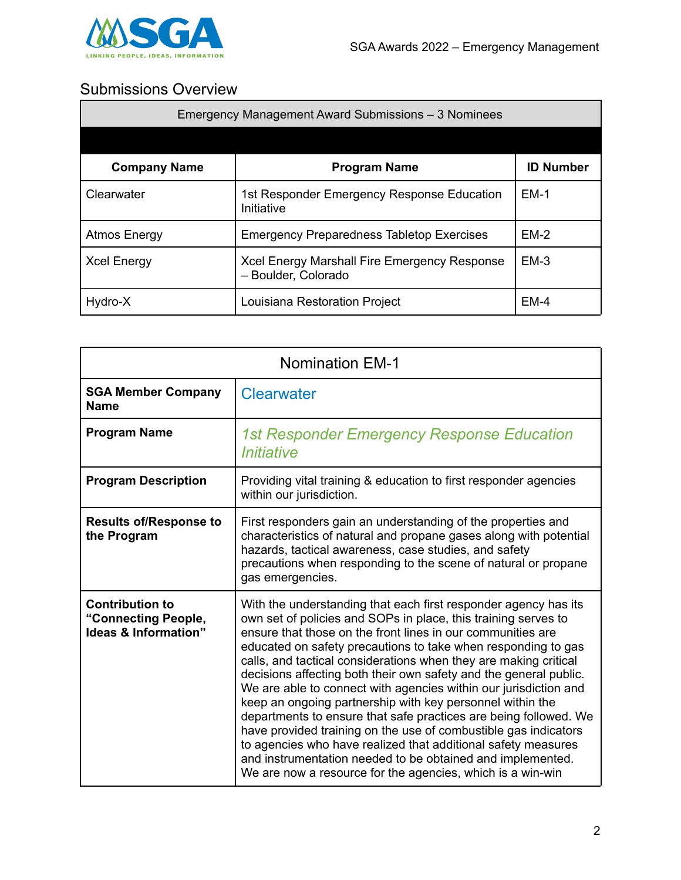

## Submissions Overview

| Emergency Management Award Submissions – 3 Nominees |                                                                     |                  |
|-----------------------------------------------------|---------------------------------------------------------------------|------------------|
|                                                     |                                                                     |                  |
| <b>Company Name</b>                                 | <b>Program Name</b>                                                 | <b>ID Number</b> |
| Clearwater                                          | 1st Responder Emergency Response Education<br>Initiative            | $EM-1$           |
| <b>Atmos Energy</b>                                 | <b>Emergency Preparedness Tabletop Exercises</b>                    | $EM-2$           |
| <b>Xcel Energy</b>                                  | Xcel Energy Marshall Fire Emergency Response<br>- Boulder, Colorado | $EM-3$           |
| Hydro-X                                             | Louisiana Restoration Project                                       | $EM-4$           |

| <b>Nomination EM-1</b>                                                |                                                                                                                                                                                                                                                                                                                                                                                                                                                                                                                                                                                                                                                                                                                                                                                                                                                                                 |
|-----------------------------------------------------------------------|---------------------------------------------------------------------------------------------------------------------------------------------------------------------------------------------------------------------------------------------------------------------------------------------------------------------------------------------------------------------------------------------------------------------------------------------------------------------------------------------------------------------------------------------------------------------------------------------------------------------------------------------------------------------------------------------------------------------------------------------------------------------------------------------------------------------------------------------------------------------------------|
| <b>SGA Member Company</b><br><b>Name</b>                              | <b>Clearwater</b>                                                                                                                                                                                                                                                                                                                                                                                                                                                                                                                                                                                                                                                                                                                                                                                                                                                               |
| <b>Program Name</b>                                                   | <b>1st Responder Emergency Response Education</b><br>Initiative                                                                                                                                                                                                                                                                                                                                                                                                                                                                                                                                                                                                                                                                                                                                                                                                                 |
| <b>Program Description</b>                                            | Providing vital training & education to first responder agencies<br>within our jurisdiction.                                                                                                                                                                                                                                                                                                                                                                                                                                                                                                                                                                                                                                                                                                                                                                                    |
| <b>Results of/Response to</b><br>the Program                          | First responders gain an understanding of the properties and<br>characteristics of natural and propane gases along with potential<br>hazards, tactical awareness, case studies, and safety<br>precautions when responding to the scene of natural or propane<br>gas emergencies.                                                                                                                                                                                                                                                                                                                                                                                                                                                                                                                                                                                                |
| <b>Contribution to</b><br>"Connecting People,<br>Ideas & Information" | With the understanding that each first responder agency has its<br>own set of policies and SOPs in place, this training serves to<br>ensure that those on the front lines in our communities are<br>educated on safety precautions to take when responding to gas<br>calls, and tactical considerations when they are making critical<br>decisions affecting both their own safety and the general public.<br>We are able to connect with agencies within our jurisdiction and<br>keep an ongoing partnership with key personnel within the<br>departments to ensure that safe practices are being followed. We<br>have provided training on the use of combustible gas indicators<br>to agencies who have realized that additional safety measures<br>and instrumentation needed to be obtained and implemented.<br>We are now a resource for the agencies, which is a win-win |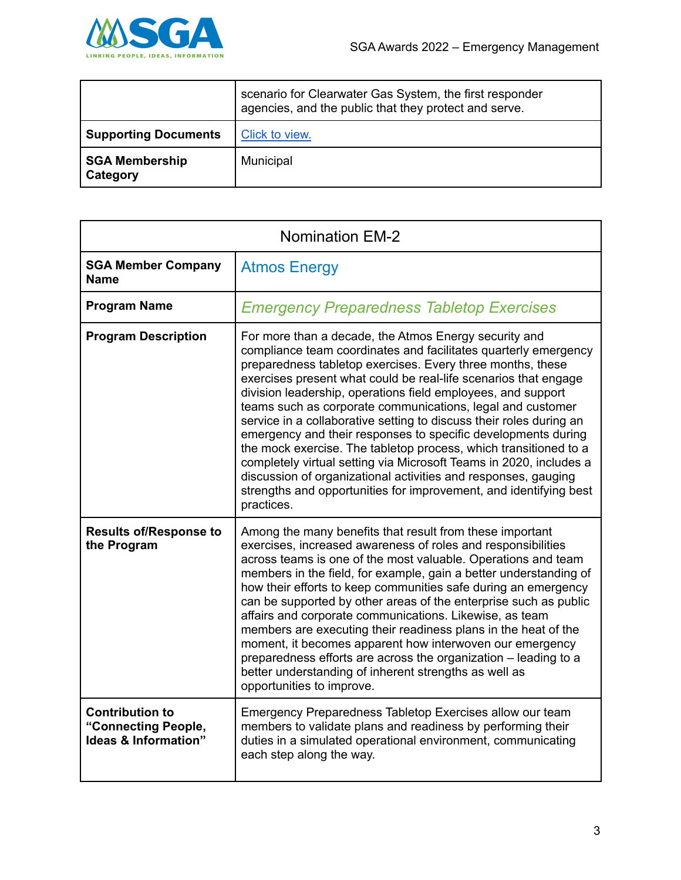

|                                   | scenario for Clearwater Gas System, the first responder<br>agencies, and the public that they protect and serve. |
|-----------------------------------|------------------------------------------------------------------------------------------------------------------|
| <b>Supporting Documents</b>       | Click to view.                                                                                                   |
| <b>SGA Membership</b><br>Category | Municipal                                                                                                        |

| <b>Nomination EM-2</b>                                                |                                                                                                                                                                                                                                                                                                                                                                                                                                                                                                                                                                                                                                                                                                                                                                                                                                |
|-----------------------------------------------------------------------|--------------------------------------------------------------------------------------------------------------------------------------------------------------------------------------------------------------------------------------------------------------------------------------------------------------------------------------------------------------------------------------------------------------------------------------------------------------------------------------------------------------------------------------------------------------------------------------------------------------------------------------------------------------------------------------------------------------------------------------------------------------------------------------------------------------------------------|
| <b>SGA Member Company</b><br><b>Name</b>                              | <b>Atmos Energy</b>                                                                                                                                                                                                                                                                                                                                                                                                                                                                                                                                                                                                                                                                                                                                                                                                            |
| <b>Program Name</b>                                                   | <b>Emergency Preparedness Tabletop Exercises</b>                                                                                                                                                                                                                                                                                                                                                                                                                                                                                                                                                                                                                                                                                                                                                                               |
| <b>Program Description</b>                                            | For more than a decade, the Atmos Energy security and<br>compliance team coordinates and facilitates quarterly emergency<br>preparedness tabletop exercises. Every three months, these<br>exercises present what could be real-life scenarios that engage<br>division leadership, operations field employees, and support<br>teams such as corporate communications, legal and customer<br>service in a collaborative setting to discuss their roles during an<br>emergency and their responses to specific developments during<br>the mock exercise. The tabletop process, which transitioned to a<br>completely virtual setting via Microsoft Teams in 2020, includes a<br>discussion of organizational activities and responses, gauging<br>strengths and opportunities for improvement, and identifying best<br>practices. |
| <b>Results of/Response to</b><br>the Program                          | Among the many benefits that result from these important<br>exercises, increased awareness of roles and responsibilities<br>across teams is one of the most valuable. Operations and team<br>members in the field, for example, gain a better understanding of<br>how their efforts to keep communities safe during an emergency<br>can be supported by other areas of the enterprise such as public<br>affairs and corporate communications. Likewise, as team<br>members are executing their readiness plans in the heat of the<br>moment, it becomes apparent how interwoven our emergency<br>preparedness efforts are across the organization - leading to a<br>better understanding of inherent strengths as well as<br>opportunities to improve.                                                                         |
| <b>Contribution to</b><br>"Connecting People,<br>Ideas & Information" | Emergency Preparedness Tabletop Exercises allow our team<br>members to validate plans and readiness by performing their<br>duties in a simulated operational environment, communicating<br>each step along the way.                                                                                                                                                                                                                                                                                                                                                                                                                                                                                                                                                                                                            |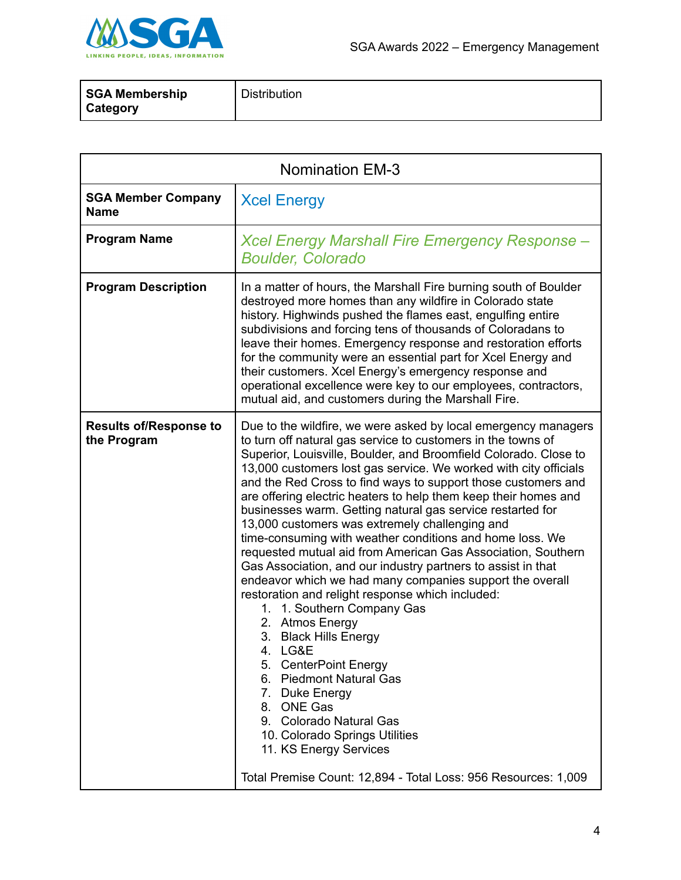

| <b>SGA Membership</b> | <b>Distribution</b> |
|-----------------------|---------------------|
| <b>Category</b>       |                     |

| <b>Nomination EM-3</b>                       |                                                                                                                                                                                                                                                                                                                                                                                                                                                                                                                                                                                                                                                                                                                                                                                                                                                                                                                                                                                                                                                                                                                                                                             |
|----------------------------------------------|-----------------------------------------------------------------------------------------------------------------------------------------------------------------------------------------------------------------------------------------------------------------------------------------------------------------------------------------------------------------------------------------------------------------------------------------------------------------------------------------------------------------------------------------------------------------------------------------------------------------------------------------------------------------------------------------------------------------------------------------------------------------------------------------------------------------------------------------------------------------------------------------------------------------------------------------------------------------------------------------------------------------------------------------------------------------------------------------------------------------------------------------------------------------------------|
| <b>SGA Member Company</b><br><b>Name</b>     | <b>Xcel Energy</b>                                                                                                                                                                                                                                                                                                                                                                                                                                                                                                                                                                                                                                                                                                                                                                                                                                                                                                                                                                                                                                                                                                                                                          |
| <b>Program Name</b>                          | Xcel Energy Marshall Fire Emergency Response –<br><b>Boulder, Colorado</b>                                                                                                                                                                                                                                                                                                                                                                                                                                                                                                                                                                                                                                                                                                                                                                                                                                                                                                                                                                                                                                                                                                  |
| <b>Program Description</b>                   | In a matter of hours, the Marshall Fire burning south of Boulder<br>destroyed more homes than any wildfire in Colorado state<br>history. Highwinds pushed the flames east, engulfing entire<br>subdivisions and forcing tens of thousands of Coloradans to<br>leave their homes. Emergency response and restoration efforts<br>for the community were an essential part for Xcel Energy and<br>their customers. Xcel Energy's emergency response and<br>operational excellence were key to our employees, contractors,<br>mutual aid, and customers during the Marshall Fire.                                                                                                                                                                                                                                                                                                                                                                                                                                                                                                                                                                                               |
| <b>Results of/Response to</b><br>the Program | Due to the wildfire, we were asked by local emergency managers<br>to turn off natural gas service to customers in the towns of<br>Superior, Louisville, Boulder, and Broomfield Colorado. Close to<br>13,000 customers lost gas service. We worked with city officials<br>and the Red Cross to find ways to support those customers and<br>are offering electric heaters to help them keep their homes and<br>businesses warm. Getting natural gas service restarted for<br>13,000 customers was extremely challenging and<br>time-consuming with weather conditions and home loss. We<br>requested mutual aid from American Gas Association, Southern<br>Gas Association, and our industry partners to assist in that<br>endeavor which we had many companies support the overall<br>restoration and relight response which included:<br>1. Southern Company Gas<br>1.<br>2. Atmos Energy<br>3. Black Hills Energy<br>4. LG&E<br>5. CenterPoint Energy<br>6. Piedmont Natural Gas<br>7. Duke Energy<br>8. ONE Gas<br>9. Colorado Natural Gas<br>10. Colorado Springs Utilities<br>11. KS Energy Services<br>Total Premise Count: 12,894 - Total Loss: 956 Resources: 1,009 |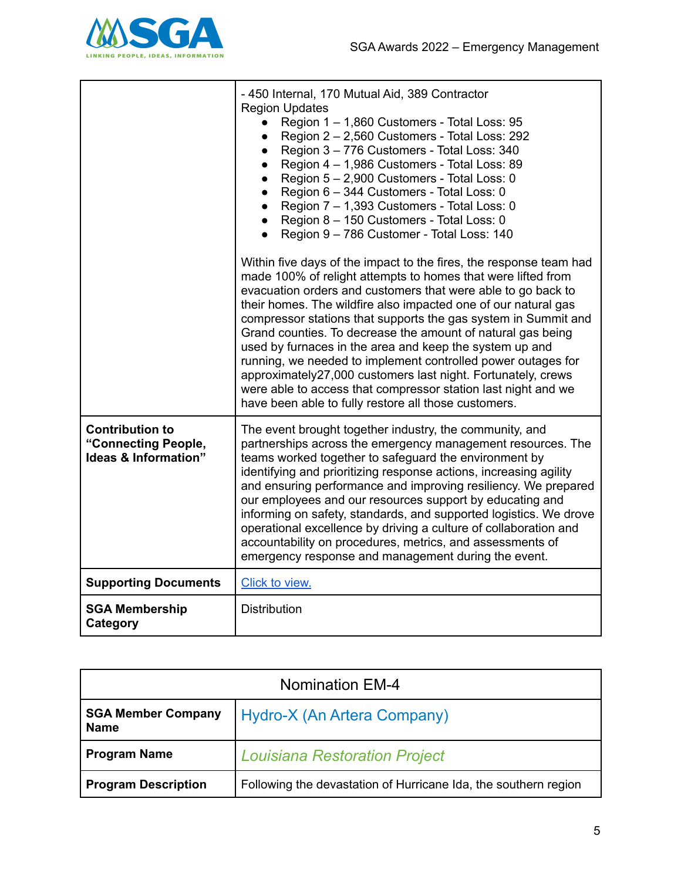

|                                                                       | - 450 Internal, 170 Mutual Aid, 389 Contractor<br><b>Region Updates</b><br>Region 1 - 1,860 Customers - Total Loss: 95<br>$\bullet$<br>Region 2 - 2,560 Customers - Total Loss: 292<br>$\bullet$<br>Region 3 - 776 Customers - Total Loss: 340<br>$\bullet$<br>Region 4 - 1,986 Customers - Total Loss: 89<br>$\bullet$<br>Region 5 - 2,900 Customers - Total Loss: 0<br>$\bullet$<br>Region 6 - 344 Customers - Total Loss: 0<br>$\bullet$<br>Region 7 - 1,393 Customers - Total Loss: 0<br>$\bullet$<br>• Region 8 - 150 Customers - Total Loss: 0<br>• Region 9 - 786 Customer - Total Loss: 140<br>Within five days of the impact to the fires, the response team had<br>made 100% of relight attempts to homes that were lifted from<br>evacuation orders and customers that were able to go back to<br>their homes. The wildfire also impacted one of our natural gas<br>compressor stations that supports the gas system in Summit and<br>Grand counties. To decrease the amount of natural gas being<br>used by furnaces in the area and keep the system up and<br>running, we needed to implement controlled power outages for<br>approximately27,000 customers last night. Fortunately, crews<br>were able to access that compressor station last night and we<br>have been able to fully restore all those customers. |
|-----------------------------------------------------------------------|----------------------------------------------------------------------------------------------------------------------------------------------------------------------------------------------------------------------------------------------------------------------------------------------------------------------------------------------------------------------------------------------------------------------------------------------------------------------------------------------------------------------------------------------------------------------------------------------------------------------------------------------------------------------------------------------------------------------------------------------------------------------------------------------------------------------------------------------------------------------------------------------------------------------------------------------------------------------------------------------------------------------------------------------------------------------------------------------------------------------------------------------------------------------------------------------------------------------------------------------------------------------------------------------------------------------------------|
| <b>Contribution to</b><br>"Connecting People,<br>Ideas & Information" | The event brought together industry, the community, and<br>partnerships across the emergency management resources. The<br>teams worked together to safeguard the environment by<br>identifying and prioritizing response actions, increasing agility<br>and ensuring performance and improving resiliency. We prepared<br>our employees and our resources support by educating and<br>informing on safety, standards, and supported logistics. We drove<br>operational excellence by driving a culture of collaboration and<br>accountability on procedures, metrics, and assessments of<br>emergency response and management during the event.                                                                                                                                                                                                                                                                                                                                                                                                                                                                                                                                                                                                                                                                                  |
| <b>Supporting Documents</b>                                           | Click to view.                                                                                                                                                                                                                                                                                                                                                                                                                                                                                                                                                                                                                                                                                                                                                                                                                                                                                                                                                                                                                                                                                                                                                                                                                                                                                                                   |
| <b>SGA Membership</b><br>Category                                     | Distribution                                                                                                                                                                                                                                                                                                                                                                                                                                                                                                                                                                                                                                                                                                                                                                                                                                                                                                                                                                                                                                                                                                                                                                                                                                                                                                                     |

| <b>Nomination EM-4</b>                   |                                                                 |
|------------------------------------------|-----------------------------------------------------------------|
| <b>SGA Member Company</b><br><b>Name</b> | Hydro-X (An Artera Company)                                     |
| <b>Program Name</b>                      | <b>Louisiana Restoration Project</b>                            |
| <b>Program Description</b>               | Following the devastation of Hurricane Ida, the southern region |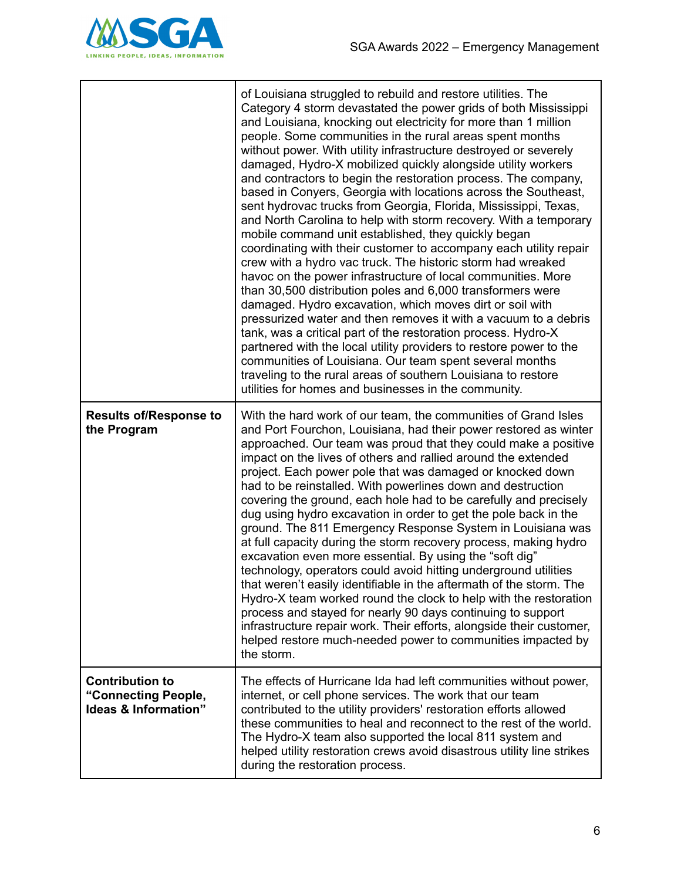

|                                                                       | of Louisiana struggled to rebuild and restore utilities. The<br>Category 4 storm devastated the power grids of both Mississippi<br>and Louisiana, knocking out electricity for more than 1 million<br>people. Some communities in the rural areas spent months<br>without power. With utility infrastructure destroyed or severely<br>damaged, Hydro-X mobilized quickly alongside utility workers<br>and contractors to begin the restoration process. The company,<br>based in Conyers, Georgia with locations across the Southeast,<br>sent hydrovac trucks from Georgia, Florida, Mississippi, Texas,<br>and North Carolina to help with storm recovery. With a temporary<br>mobile command unit established, they quickly began<br>coordinating with their customer to accompany each utility repair<br>crew with a hydro vac truck. The historic storm had wreaked<br>havoc on the power infrastructure of local communities. More<br>than 30,500 distribution poles and 6,000 transformers were<br>damaged. Hydro excavation, which moves dirt or soil with<br>pressurized water and then removes it with a vacuum to a debris<br>tank, was a critical part of the restoration process. Hydro-X<br>partnered with the local utility providers to restore power to the<br>communities of Louisiana. Our team spent several months<br>traveling to the rural areas of southern Louisiana to restore<br>utilities for homes and businesses in the community. |
|-----------------------------------------------------------------------|------------------------------------------------------------------------------------------------------------------------------------------------------------------------------------------------------------------------------------------------------------------------------------------------------------------------------------------------------------------------------------------------------------------------------------------------------------------------------------------------------------------------------------------------------------------------------------------------------------------------------------------------------------------------------------------------------------------------------------------------------------------------------------------------------------------------------------------------------------------------------------------------------------------------------------------------------------------------------------------------------------------------------------------------------------------------------------------------------------------------------------------------------------------------------------------------------------------------------------------------------------------------------------------------------------------------------------------------------------------------------------------------------------------------------------------------------------------|
| <b>Results of/Response to</b><br>the Program                          | With the hard work of our team, the communities of Grand Isles<br>and Port Fourchon, Louisiana, had their power restored as winter<br>approached. Our team was proud that they could make a positive<br>impact on the lives of others and rallied around the extended<br>project. Each power pole that was damaged or knocked down<br>had to be reinstalled. With powerlines down and destruction<br>covering the ground, each hole had to be carefully and precisely<br>dug using hydro excavation in order to get the pole back in the<br>ground. The 811 Emergency Response System in Louisiana was<br>at full capacity during the storm recovery process, making hydro<br>excavation even more essential. By using the "soft dig"<br>technology, operators could avoid hitting underground utilities<br>that weren't easily identifiable in the aftermath of the storm. The<br>Hydro-X team worked round the clock to help with the restoration<br>process and stayed for nearly 90 days continuing to support<br>infrastructure repair work. Their efforts, alongside their customer,<br>helped restore much-needed power to communities impacted by<br>the storm.                                                                                                                                                                                                                                                                                          |
| <b>Contribution to</b><br>"Connecting People,<br>Ideas & Information" | The effects of Hurricane Ida had left communities without power,<br>internet, or cell phone services. The work that our team<br>contributed to the utility providers' restoration efforts allowed<br>these communities to heal and reconnect to the rest of the world.<br>The Hydro-X team also supported the local 811 system and<br>helped utility restoration crews avoid disastrous utility line strikes<br>during the restoration process.                                                                                                                                                                                                                                                                                                                                                                                                                                                                                                                                                                                                                                                                                                                                                                                                                                                                                                                                                                                                                  |